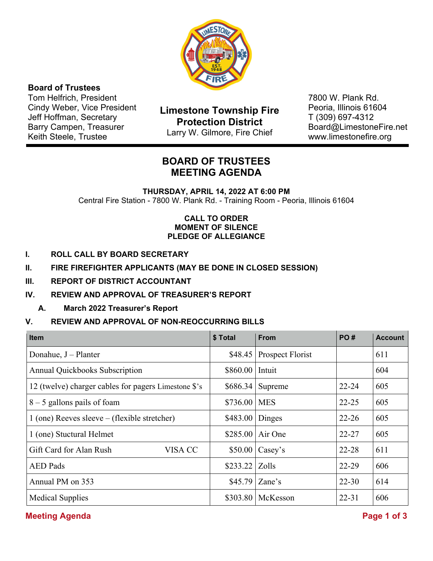

## **Board of Trustees**

Tom Helfrich, President Cindy Weber, Vice President Jeff Hoffman, Secretary Barry Campen, Treasurer Keith Steele, Trustee

**Limestone Township Fire Protection District**  Larry W. Gilmore, Fire Chief

7800 W. Plank Rd. Peoria, Illinois 61604 T (309) 697-4312 Board@LimestoneFire.net www.limestonefire.org

# **BOARD OF TRUSTEES MEETING AGENDA**

**THURSDAY, APRIL 14, 2022 AT 6:00 PM** Central Fire Station - 7800 W. Plank Rd. - Training Room - Peoria, Illinois 61604

## **CALL TO ORDER MOMENT OF SILENCE PLEDGE OF ALLEGIANCE**

- **I. ROLL CALL BY BOARD SECRETARY**
- **II. FIRE FIREFIGHTER APPLICANTS (MAY BE DONE IN CLOSED SESSION)**
- **III. REPORT OF DISTRICT ACCOUNTANT**
- **IV. REVIEW AND APPROVAL OF TREASURER'S REPORT** 
	- **A. March 2022 Treasurer's Report**

## **V. REVIEW AND APPROVAL OF NON-REOCCURRING BILLS**

| <b>Item</b>                                          | \$ Total | <b>From</b>      | PO#       | <b>Account</b> |
|------------------------------------------------------|----------|------------------|-----------|----------------|
| Donahue, J - Planter                                 | \$48.45  | Prospect Florist |           | 611            |
| <b>Annual Quickbooks Subscription</b>                | \$860.00 | Intuit           |           | 604            |
| 12 (twelve) charger cables for pagers Limestone \$'s | \$686.34 | Supreme          | $22 - 24$ | 605            |
| $8 - 5$ gallons pails of foam                        | \$736.00 | <b>MES</b>       | $22 - 25$ | 605            |
| $1$ (one) Reeves sleeve – (flexible stretcher)       | \$483.00 | Dinges           | $22 - 26$ | 605            |
| 1 (one) Stuctural Helmet                             | \$285.00 | Air One          | $22 - 27$ | 605            |
| Gift Card for Alan Rush<br>VISA CC                   | \$50.00  | Casey's          | $22 - 28$ | 611            |
| <b>AED</b> Pads                                      | \$233.22 | Zolls            | 22-29     | 606            |
| Annual PM on 353                                     | \$45.79  | Zane's           | $22 - 30$ | 614            |
| <b>Medical Supplies</b>                              | \$303.80 | McKesson         | $22 - 31$ | 606            |

## **Meeting Agenda** Page 1 of 3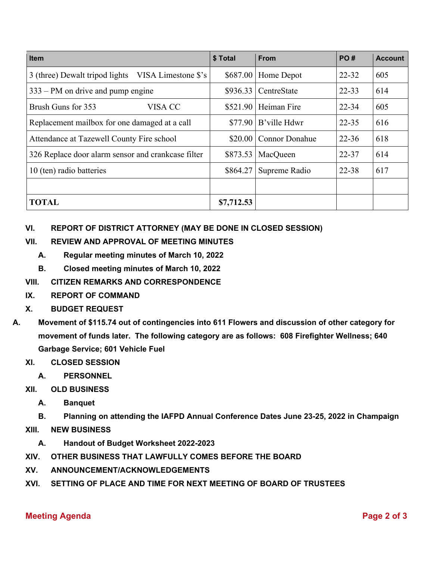| <b>Item</b>                                        | \$ Total   | <b>From</b>           | <b>PO#</b> | <b>Account</b> |
|----------------------------------------------------|------------|-----------------------|------------|----------------|
| 3 (three) Dewalt tripod lights VISA Limestone \$'s |            | $$687.00$ Home Depot  | $22 - 32$  | 605            |
| $333 - PM$ on drive and pump engine                | \$936.33   | CentreState           | $22 - 33$  | 614            |
| Brush Guns for 353<br>VISA CC                      | \$521.90   | Heiman Fire           | $22 - 34$  | 605            |
| Replacement mailbox for one damaged at a call      | \$77.90    | B'ville Hdwr          | $22 - 35$  | 616            |
| Attendance at Tazewell County Fire school          | \$20.00    | <b>Connor Donahue</b> | $22 - 36$  | 618            |
| 326 Replace door alarm sensor and crankcase filter | \$873.53   | MacQueen              | $22 - 37$  | 614            |
| 10 (ten) radio batteries                           | \$864.27   | Supreme Radio         | 22-38      | 617            |
|                                                    |            |                       |            |                |
| <b>TOTAL</b>                                       | \$7,712.53 |                       |            |                |

## **VI. REPORT OF DISTRICT ATTORNEY (MAY BE DONE IN CLOSED SESSION)**

## **VII. REVIEW AND APPROVAL OF MEETING MINUTES**

- **A. Regular meeting minutes of March 10, 2022**
- **B. Closed meeting minutes of March 10, 2022**

## **VIII. CITIZEN REMARKS AND CORRESPONDENCE**

- **IX. REPORT OF COMMAND**
- **X. BUDGET REQUEST**
- **A. Movement of \$115.74 out of contingencies into 611 Flowers and discussion of other category for movement of funds later. The following category are as follows: 608 Firefighter Wellness; 640 Garbage Service; 601 Vehicle Fuel**

## **XI. CLOSED SESSION**

- **A. PERSONNEL**
- **XII. OLD BUSINESS** 
	- **A. Banquet**
	- **B. Planning on attending the IAFPD Annual Conference Dates June 23-25, 2022 in Champaign**
- **XIII. NEW BUSINESS** 
	- **A. Handout of Budget Worksheet 2022-2023**
- **XIV. OTHER BUSINESS THAT LAWFULLY COMES BEFORE THE BOARD**
- **XV. ANNOUNCEMENT/ACKNOWLEDGEMENTS**
- **XVI. SETTING OF PLACE AND TIME FOR NEXT MEETING OF BOARD OF TRUSTEES**

## **Meeting Agenda** Page 2 of 3